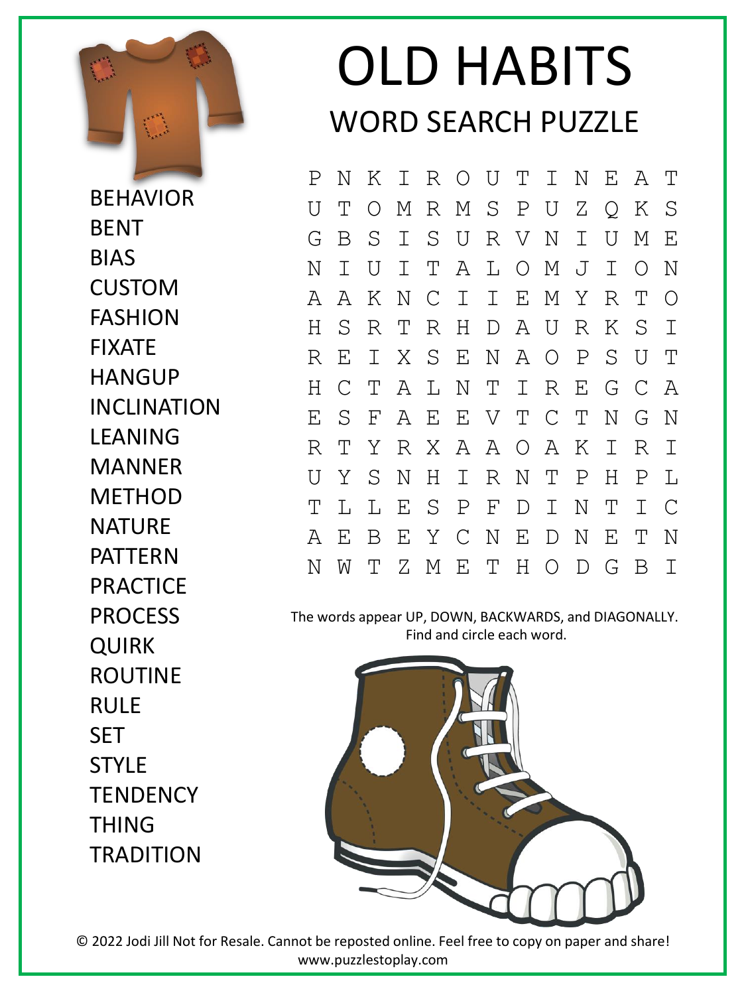

**BEHAVIOR BENT** BIAS CUSTOM FASHION FIXATE **HANGUP** INCLINATION LEANING MANNER **METHOD NATURF** PATTERN PRACTICE PROCESS QUIRK ROUTINE RULE **SET STYLE TENDENCY** THING **TRADITION** 

## OLD HABITS WORD SEARCH PUZZLE

P N K I R O U T I N E A T U T O M R M S P U Z Q K S G B S I S U R V N I U M E N I U I T A L O M J I O N A A K N C I I E M Y R T O H S R T R H D A U R K S I R E I X S E N A O P S U T H C T A L N T I R E G C A E S F A E E V T C T N G N R T Y R X A A O A K I R I U Y S N H I R N T P H P L T L L E S P F D I N T I C A E B E Y C N E D N E T N N W T Z M E T H O D G B I

The words appear UP, DOWN, BACKWARDS, and DIAGONALLY. Find and circle each word.



© 2022 Jodi Jill Not for Resale. Cannot be reposted online. Feel free to copy on paper and share! www.puzzlestoplay.com